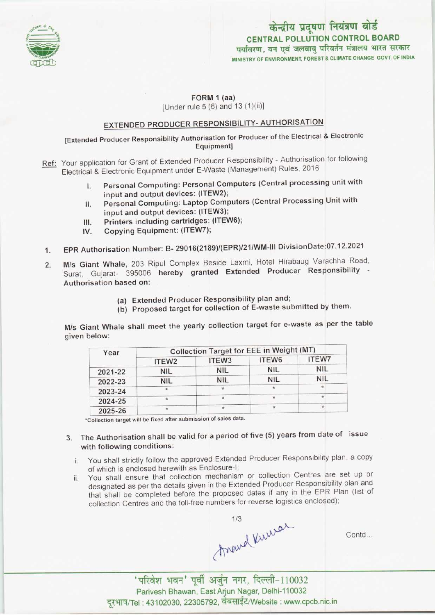

# केन्द्रीय प्रदूषण नियंत्रण बोर्ड<br>CENTRAL POLLUTION CONTROL BOARD पर्यावरण, वन एवं जलवायु परिवर्तन मंत्रालय भारत सरकार MINISTRY OF ENVIRONMENT, FOREST & CLIMATE CHANGE GOVT. OF INDIA

#### FORM 1 (aa) [Under rule 5 (6) and 13 (1)(ii)]

## EXTENDED PRODUCER RESPONSIBILITY-AUTHORISATION

#### [Extended Producer Responsibility Authorisation for Producer ofthe Electrical & Electronic Equipment]

Ref: Your application for Grant of Extended Producer Responsibility - Authorisation for following Electrical S Electronic Equipment under E-Waste (Management) Rules, 2016

- I. Personal Computing: Personal Computers (Central processing unit with input and output devices: (ITEW2);
- II. Personal Computing: Laptop Computers (Central Processing Unit with input and output devices: (ITEW3); II. Personal Computing: Laptop Compute<br>
input and output devices: (ITEW3);<br>
III. Printers including cartridges: (ITEW6);
- 
- input and output devices: (ITE<br>III. Printers including cartridges:<br>IV. Copying Equipment: (ITEW7);
- III. Printers including cartridges: (ITEW6);<br>IV. Copying Equipment: (ITEW7);<br>1. EPR Authorisation Number: B- 29016(2189)/(EPR)/21/WM-III DivisionDate:07.12.2021
- 2. M/s Giant Whale, 203 Ripul Complex Beside Laxmi, Hotel Hirabaug Varachha Road, Surat, Gujarat- 395006 hereby granted Extended Producer Responsibility - Authorisation based on:
	- (a)Extended Producer Responsibility plan and;
	- (b) Proposed target for collection of E-waste submitted by them.

M/s Giant Whale shall meet the yearly collection target for e-waste as per the table given below:

| Year    | Collection Target for EEE in Weight (MT) |            |            |              |
|---------|------------------------------------------|------------|------------|--------------|
|         | ITEW <sub>2</sub>                        | ITEW3      | ITEW6      | <b>ITEW7</b> |
| 2021-22 | <b>NIL</b>                               | <b>NIL</b> | <b>NIL</b> | <b>NIL</b>   |
| 2022-23 | <b>NIL</b>                               | <b>NIL</b> | <b>NIL</b> | <b>NIL</b>   |
| 2023-24 | $\star$                                  |            | $\star$    |              |
| 2024-25 |                                          |            | ÷          | $\star$      |
| 2025-26 | $\star$                                  |            |            |              |

'Collection target will be fixed after submission of sales data.

## 3. The Authorisation shall be valid for a period of five (5) years from date of issue with following conditions:

- i. You shall strictly follow the approved Extended Producer Responsibility plan, a copy of which is enclosed herewith as Enclosure-I;
- ii. You shall ensure that collection mechanism or collection Centres are set up or designated as per the details given in the Extended Producer Responsibility plan and that shall be completed before the proposed dates if any in the EPR Plan (list of collection Centres and the toll-free numbers for reverse logistics enclosed);

Anound Kurrar

Contd...

'परिवेश भवन' पूर्वी अर्जुन नगर, दिल्ली-110032 Parivesh Bhawan, East Arjun Nagar, Delhi-110032 दूरभाष/Tel : 43102030, 22305792, वेबसाईट/Website : www.cpcb.nic.in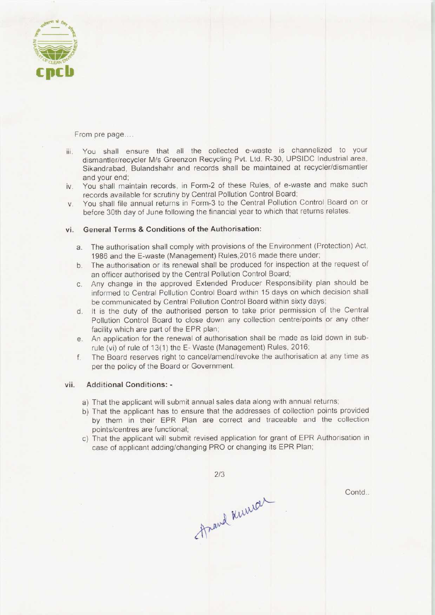

From pre page....

- iii. You shall ensure that all the collected e-waste is channelized to your dismantler/recycler M/s Greenzon Recycling Pvt. Ltd. R-30, UPSIDC industrial area. Sikandrabad, Bulandshahr and records shall be maintained at recycier/dismantler and your end;
- iv. You shall maintain records, in Form-2 of these Rules, of e-waste and make such records available for scrutiny by Central Pollution Control Board;
- v. You shall file annual returns in Form-3 to the Central Pollution Control Board on or before 30th day of June following the financial year to which that returns relates.

#### vi. General Terms & Conditions of the Authorisation:

- a. The authorisation shall comply with provisions of the Environment (Protection) Act, 1986 and the E-waste (Management) Rules.2016 made there under;
- b.The authorisation or its renewal shall be produced for inspection at the request of an officer authorised by the Central Pollution Control Board;
- c.Any change in the approved Extended Producer Responsibility plan should be informed to Central Pollution Control Board within 15 days on which decision shall be communicated by Central Pollution Control Board within sixty days;
- d. It is the duty of the authorised person to take prior permission of the Central Pollution Control Board to close down any collection centre/points or any other facility which are part of the EPR plan;
- e.An application for the renewal of authorisation shall be made aslaid down in subrule (vi) of rule of 13(1) the E-Waste (Management) Rules, 2016;
- f.The Board reserves right to cancel/amend/revoke the authorisation at any time as per the policy of the Board or Government.

#### vii. Additional Conditions: -

- a) That the applicant will submit annual sales data along with annual returns;
- b) That the applicant has to ensure that the addresses of collection points provided by them in their EPR Plan are correct and traceable and the collection points/centres are functional;
- c) That the applicant will submit revised application for grant of EPR Authorisation in case of applicant adding/changing PRO or changing its EPR Plan;

 $2/3$ Arand Kunicar

Contd...